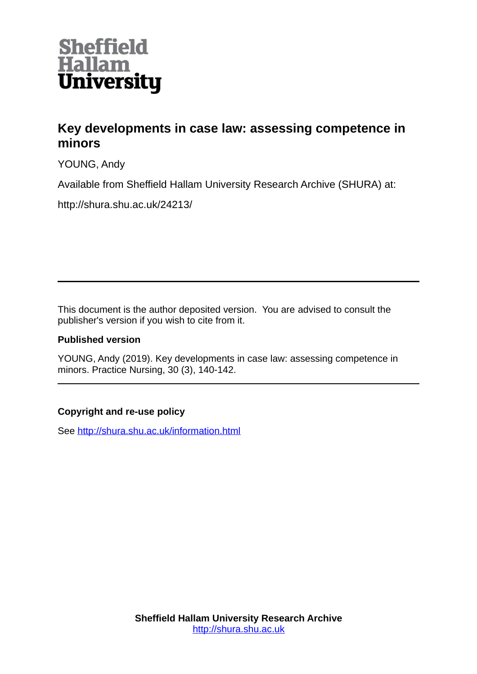

# **Key developments in case law: assessing competence in minors**

YOUNG, Andy

Available from Sheffield Hallam University Research Archive (SHURA) at:

http://shura.shu.ac.uk/24213/

This document is the author deposited version. You are advised to consult the publisher's version if you wish to cite from it.

### **Published version**

YOUNG, Andy (2019). Key developments in case law: assessing competence in minors. Practice Nursing, 30 (3), 140-142.

# **Copyright and re-use policy**

See<http://shura.shu.ac.uk/information.html>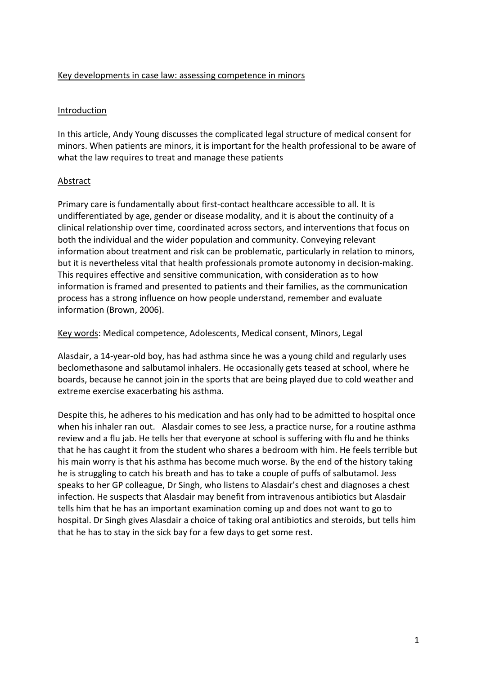#### Key developments in case law: assessing competence in minors

#### Introduction

In this article, Andy Young discusses the complicated legal structure of medical consent for minors. When patients are minors, it is important for the health professional to be aware of what the law requires to treat and manage these patients

### Abstract

Primary care is fundamentally about first-contact healthcare accessible to all. It is undifferentiated by age, gender or disease modality, and it is about the continuity of a clinical relationship over time, coordinated across sectors, and interventions that focus on both the individual and the wider population and community. Conveying relevant information about treatment and risk can be problematic, particularly in relation to minors, but it is nevertheless vital that health professionals promote autonomy in decision-making. This requires effective and sensitive communication, with consideration as to how information is framed and presented to patients and their families, as the communication process has a strong influence on how people understand, remember and evaluate information (Brown, 2006).

Key words: Medical competence, Adolescents, Medical consent, Minors, Legal

Alasdair, a 14-year-old boy, has had asthma since he was a young child and regularly uses beclomethasone and salbutamol inhalers. He occasionally gets teased at school, where he boards, because he cannot join in the sports that are being played due to cold weather and extreme exercise exacerbating his asthma.

Despite this, he adheres to his medication and has only had to be admitted to hospital once when his inhaler ran out. Alasdair comes to see Jess, a practice nurse, for a routine asthma review and a flu jab. He tells her that everyone at school is suffering with flu and he thinks that he has caught it from the student who shares a bedroom with him. He feels terrible but his main worry is that his asthma has become much worse. By the end of the history taking he is struggling to catch his breath and has to take a couple of puffs of salbutamol. Jess speaks to her GP colleague, Dr Singh, who listens to Alasdair's chest and diagnoses a chest infection. He suspects that Alasdair may benefit from intravenous antibiotics but Alasdair tells him that he has an important examination coming up and does not want to go to hospital. Dr Singh gives Alasdair a choice of taking oral antibiotics and steroids, but tells him that he has to stay in the sick bay for a few days to get some rest.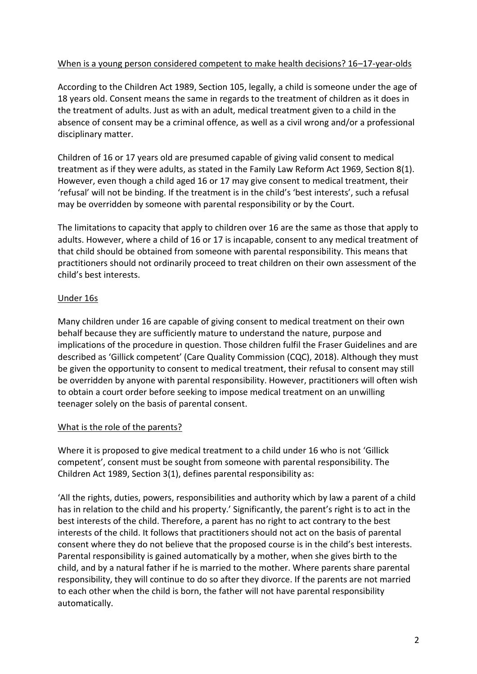## When is a young person considered competent to make health decisions? 16–17-year-olds

According to the Children Act 1989, Section 105, legally, a child is someone under the age of 18 years old. Consent means the same in regards to the treatment of children as it does in the treatment of adults. Just as with an adult, medical treatment given to a child in the absence of consent may be a criminal offence, as well as a civil wrong and/or a professional disciplinary matter.

Children of 16 or 17 years old are presumed capable of giving valid consent to medical treatment as if they were adults, as stated in the Family Law Reform Act 1969, Section 8(1). However, even though a child aged 16 or 17 may give consent to medical treatment, their 'refusal' will not be binding. If the treatment is in the child's 'best interests', such a refusal may be overridden by someone with parental responsibility or by the Court.

The limitations to capacity that apply to children over 16 are the same as those that apply to adults. However, where a child of 16 or 17 is incapable, consent to any medical treatment of that child should be obtained from someone with parental responsibility. This means that practitioners should not ordinarily proceed to treat children on their own assessment of the child's best interests.

# Under 16s

Many children under 16 are capable of giving consent to medical treatment on their own behalf because they are sufficiently mature to understand the nature, purpose and implications of the procedure in question. Those children fulfil the Fraser Guidelines and are described as 'Gillick competent' (Care Quality Commission (CQC), 2018). Although they must be given the opportunity to consent to medical treatment, their refusal to consent may still be overridden by anyone with parental responsibility. However, practitioners will often wish to obtain a court order before seeking to impose medical treatment on an unwilling teenager solely on the basis of parental consent.

### What is the role of the parents?

Where it is proposed to give medical treatment to a child under 16 who is not 'Gillick competent', consent must be sought from someone with parental responsibility. The Children Act 1989, Section 3(1), defines parental responsibility as:

'All the rights, duties, powers, responsibilities and authority which by law a parent of a child has in relation to the child and his property.' Significantly, the parent's right is to act in the best interests of the child. Therefore, a parent has no right to act contrary to the best interests of the child. It follows that practitioners should not act on the basis of parental consent where they do not believe that the proposed course is in the child's best interests. Parental responsibility is gained automatically by a mother, when she gives birth to the child, and by a natural father if he is married to the mother. Where parents share parental responsibility, they will continue to do so after they divorce. If the parents are not married to each other when the child is born, the father will not have parental responsibility automatically.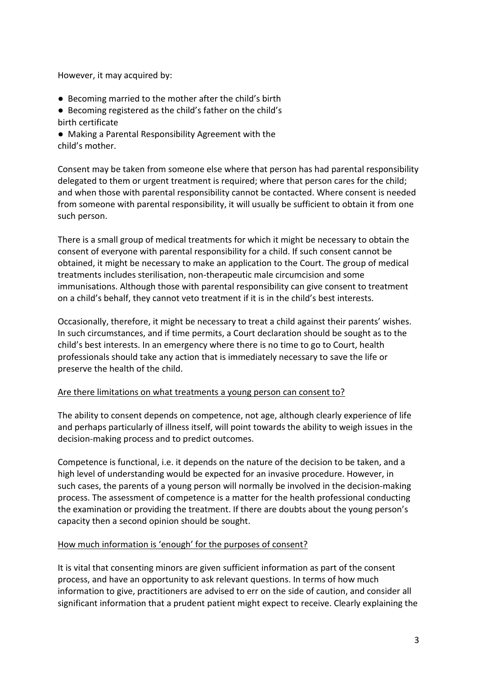However, it may acquired by:

- Becoming married to the mother after the child's birth
- Becoming registered as the child's father on the child's birth certificate
- Making a Parental Responsibility Agreement with the child's mother.

Consent may be taken from someone else where that person has had parental responsibility delegated to them or urgent treatment is required; where that person cares for the child; and when those with parental responsibility cannot be contacted. Where consent is needed from someone with parental responsibility, it will usually be sufficient to obtain it from one such person.

There is a small group of medical treatments for which it might be necessary to obtain the consent of everyone with parental responsibility for a child. If such consent cannot be obtained, it might be necessary to make an application to the Court. The group of medical treatments includes sterilisation, non-therapeutic male circumcision and some immunisations. Although those with parental responsibility can give consent to treatment on a child's behalf, they cannot veto treatment if it is in the child's best interests.

Occasionally, therefore, it might be necessary to treat a child against their parents' wishes. In such circumstances, and if time permits, a Court declaration should be sought as to the child's best interests. In an emergency where there is no time to go to Court, health professionals should take any action that is immediately necessary to save the life or preserve the health of the child.

### Are there limitations on what treatments a young person can consent to?

The ability to consent depends on competence, not age, although clearly experience of life and perhaps particularly of illness itself, will point towards the ability to weigh issues in the decision-making process and to predict outcomes.

Competence is functional, i.e. it depends on the nature of the decision to be taken, and a high level of understanding would be expected for an invasive procedure. However, in such cases, the parents of a young person will normally be involved in the decision-making process. The assessment of competence is a matter for the health professional conducting the examination or providing the treatment. If there are doubts about the young person's capacity then a second opinion should be sought.

### How much information is 'enough' for the purposes of consent?

It is vital that consenting minors are given sufficient information as part of the consent process, and have an opportunity to ask relevant questions. In terms of how much information to give, practitioners are advised to err on the side of caution, and consider all significant information that a prudent patient might expect to receive. Clearly explaining the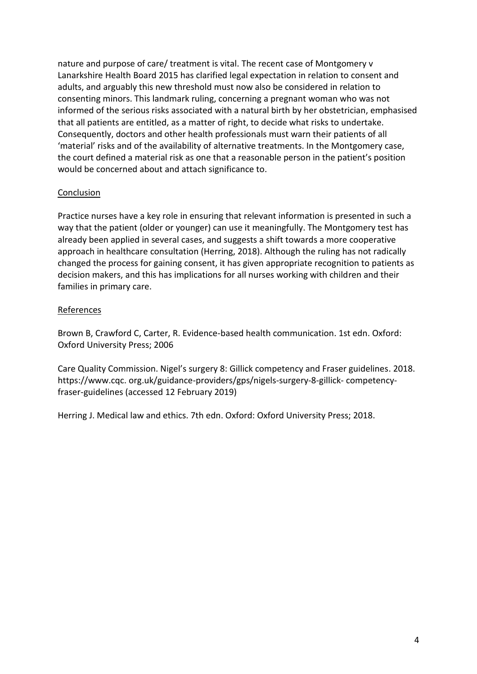nature and purpose of care/ treatment is vital. The recent case of Montgomery v Lanarkshire Health Board 2015 has clarified legal expectation in relation to consent and adults, and arguably this new threshold must now also be considered in relation to consenting minors. This landmark ruling, concerning a pregnant woman who was not informed of the serious risks associated with a natural birth by her obstetrician, emphasised that all patients are entitled, as a matter of right, to decide what risks to undertake. Consequently, doctors and other health professionals must warn their patients of all 'material' risks and of the availability of alternative treatments. In the Montgomery case, the court defined a material risk as one that a reasonable person in the patient's position would be concerned about and attach significance to.

### Conclusion

Practice nurses have a key role in ensuring that relevant information is presented in such a way that the patient (older or younger) can use it meaningfully. The Montgomery test has already been applied in several cases, and suggests a shift towards a more cooperative approach in healthcare consultation (Herring, 2018). Although the ruling has not radically changed the process for gaining consent, it has given appropriate recognition to patients as decision makers, and this has implications for all nurses working with children and their families in primary care.

# References

Brown B, Crawford C, Carter, R. Evidence-based health communication. 1st edn. Oxford: Oxford University Press; 2006

Care Quality Commission. Nigel's surgery 8: Gillick competency and Fraser guidelines. 2018. https://www.cqc. org.uk/guidance-providers/gps/nigels-surgery-8-gillick- competencyfraser-guidelines (accessed 12 February 2019)

Herring J. Medical law and ethics. 7th edn. Oxford: Oxford University Press; 2018.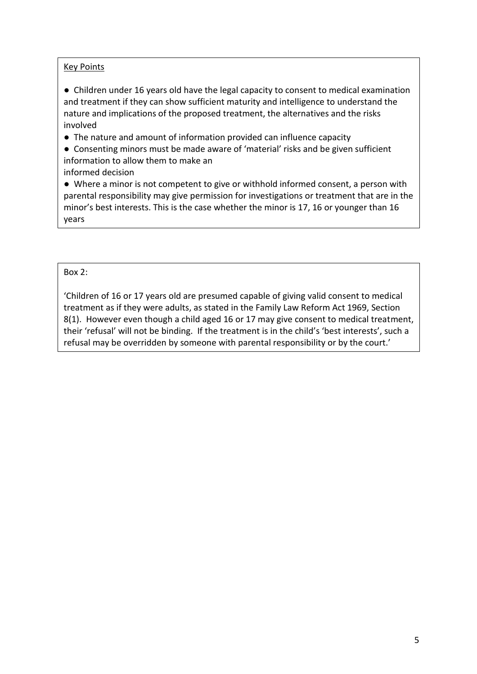### Key Points

• Children under 16 years old have the legal capacity to consent to medical examination and treatment if they can show sufficient maturity and intelligence to understand the nature and implications of the proposed treatment, the alternatives and the risks involved

● The nature and amount of information provided can influence capacity

● Consenting minors must be made aware of 'material' risks and be given sufficient information to allow them to make an

informed decision

● Where a minor is not competent to give or withhold informed consent, a person with parental responsibility may give permission for investigations or treatment that are in the minor's best interests. This is the case whether the minor is 17, 16 or younger than 16 years

#### Box 2:

'Children of 16 or 17 years old are presumed capable of giving valid consent to medical treatment as if they were adults, as stated in the Family Law Reform Act 1969, Section 8(1). However even though a child aged 16 or 17 may give consent to medical treatment, their 'refusal' will not be binding. If the treatment is in the child's 'best interests', such a refusal may be overridden by someone with parental responsibility or by the court.'